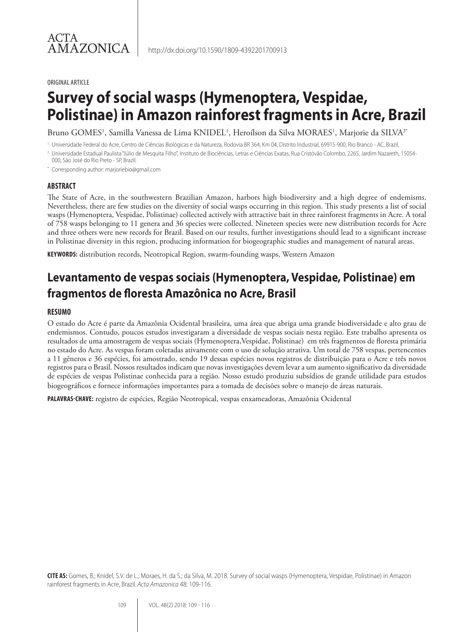http://dx.doi.org/10.1590/1809-4392201700913

#### ORIGINAL ARTICLE

# **Survey of social wasps (Hymenoptera, Vespidae, Polistinae) in Amazon rainforest fragments in Acre, Brazil**

Bruno GOMES', Samilla Vanessa de Lima KNIDEL', Heroílson da Silva MORAES', Marjorie da SILVA<sup>2</sup>'

<sup>1</sup> Universidade Federal do Acre, Centro de Ciências Biológicas e da Natureza, Rodovia BR 364, Km 04, Distrito Industrial, 69915-900, Rio Branco - AC, Brazil,

<sup>2</sup> Universidade Estadual Paulista "Júlio de Mesquita Filho", Instituto de Biociências, Letras e Ciências Exatas, Rua Cristóvão Colombo, 2265, Jardim Nazareth, 15054-

000, São José do Rio Preto - SP, Brazil.

\* Corresponding author: marjoriebio@gmail.com

#### **ABSTRACT**

The State of Acre, in the southwestern Brazilian Amazon, harbors high biodiversity and a high degree of endemisms. Nevertheless, there are few studies on the diversity of social wasps occurring in this region. This study presents a list of social wasps (Hymenoptera, Vespidae, Polistinae) collected actively with attractive bait in three rainforest fragments in Acre. A total of 758 wasps belonging to 11 genera and 36 species were collected. Nineteen species were new distribution records for Acre and three others were new records for Brazil. Based on our results, further investigations should lead to a significant increase in Polistinae diversity in this region, producing information for biogeographic studies and management of natural areas.

**KEYWORDS:** distribution records, Neotropical Region, swarm-founding wasps, Western Amazon

## **Levantamento de vespas sociais (Hymenoptera, Vespidae, Polistinae) em fragmentos de floresta Amazônica no Acre, Brasil**

#### **RESUMO**

O estado do Acre é parte da Amazônia Ocidental brasileira, uma área que abriga uma grande biodiversidade e alto grau de endemismos. Contudo, poucos estudos investigaram a diversidade de vespas sociais nesta região. Este trabalho apresenta os resultados de uma amostragem de vespas sociais (Hymenoptera,Vespidae, Polistinae) em três fragmentos de floresta primária no estado do Acre. As vespas foram coletadas ativamente com o uso de solução atrativa. Um total de 758 vespas, pertencentes a 11 gêneros e 36 espécies, foi amostrado, sendo 19 dessas espécies novos registros de distribuição para o Acre e três novos registros para o Brasil. Nossos resultados indicam que novas investigações devem levar a um aumento significativo da diversidade de espécies de vespas Polistinae conhecida para a região. Nosso estudo produziu subsídios de grande utilidade para estudos biogeográficos e fornece informações importantes para a tomada de decisões sobre o manejo de áreas naturais.

**PALAVRAS-CHAVE:** registro de espécies, Região Neotropical, vespas enxameadoras, Amazônia Ocidental

**CITE AS:** Gomes, B.; Knidel, S.V. de L.; Moraes, H. da S.; da Silva, M. 2018. Survey of social wasps (Hymenoptera, Vespidae, Polistinae) in Amazon rainforest fragments in Acre, Brazil. *Acta Amazonica* 48: 109-116.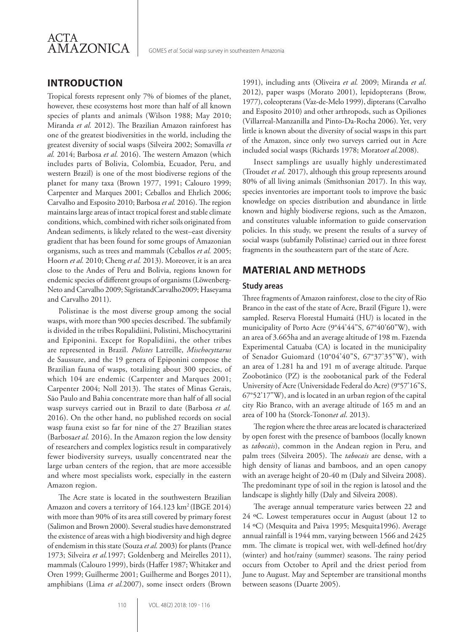

## **INTRODUCTION**

Tropical forests represent only 7% of biomes of the planet, however, these ecosystems host more than half of all known species of plants and animals (Wilson 1988; May 2010; Miranda *et al.* 2012). The Brazilian Amazon rainforest has one of the greatest biodiversities in the world, including the greatest diversity of social wasps (Silveira 2002; Somavilla *et al.* 2014; Barbosa *et al.* 2016). The western Amazon (which includes parts of Bolivia, Colombia, Ecuador, Peru, and western Brazil) is one of the most biodiverse regions of the planet for many taxa (Brown 1977, 1991; Calouro 1999; Carpenter and Marques 2001; Ceballos and Ehrlich 2006; Carvalho and Esposito 2010; Barbosa *et al.* 2016). The region maintains large areas of intact tropical forest and stable climate conditions, which, combined with richer soils originated from Andean sediments, is likely related to the west–east diversity gradient that has been found for some groups of Amazonian organisms, such as trees and mammals (Ceballos *et al.* 2005; Hoorn *et al.* 2010; Cheng *et al.* 2013). Moreover, it is an area close to the Andes of Peru and Bolivia, regions known for endemic species of different groups of organisms (Löwenberg-Neto and Carvalho 2009; SigristandCarvalho2009; Haseyama and Carvalho 2011).

Polistinae is the most diverse group among the social wasps, with more than 900 species described. The subfamily is divided in the tribes Ropalidiini, Polistini, Mischocyttarini and Epiponini. Except for Ropalidiini, the other tribes are represented in Brazil. *Polistes* Latreille, *Mischocyttarus*  de Saussure, and the 19 genera of Epiponini compose the Brazilian fauna of wasps, totalizing about 300 species, of which 104 are endemic (Carpenter and Marques 2001; Carpenter 2004; Noll 2013). The states of Minas Gerais, São Paulo and Bahia concentrate more than half of all social wasp surveys carried out in Brazil to date (Barbosa *et al.* 2016). On the other hand, no published records on social wasp fauna exist so far for nine of the 27 Brazilian states (Barbosa*et al.* 2016). In the Amazon region the low density of researchers and complex logistics result in comparatively fewer biodiversity surveys, usually concentrated near the large urban centers of the region, that are more accessible and where most specialists work, especially in the eastern Amazon region.

The Acre state is located in the southwestern Brazilian Amazon and covers a territory of 164.123 km<sup>2</sup> (IBGE 2014) with more than 90% of its area still covered by primary forest (Salimon and Brown 2000). Several studies have demonstrated the existence of areas with a high biodiversity and high degree of endemism in this state (Souza *et al.* 2003) for plants (Prance 1973; Silveira *et al.*1997; Goldenberg and Meirelles 2011), mammals (Calouro 1999), birds (Haffer 1987; Whitaker and Oren 1999; Guilherme 2001; Guilherme and Borges 2011), amphibians (Lima *et al.*2007), some insect orders (Brown

1991), including ants (Oliveira *et al.* 2009; Miranda *et al*. 2012), paper wasps (Morato 2001), lepidopterans (Brow, 1977), coleopterans (Vaz-de-Melo 1999), dipterans (Carvalho and Esposito 2010) and other arthropods, such as Opiliones (Villarreal-Manzanilla and Pinto-Da-Rocha 2006). Yet, very little is known about the diversity of social wasps in this part of the Amazon, since only two surveys carried out in Acre included social wasps (Richards 1978; Morato*et al.*2008).

Insect samplings are usually highly underestimated (Troudet *et al.* 2017), although this group represents around 80% of all living animals (Smithsonian 2017). In this way, species inventories are important tools to improve the basic knowledge on species distribution and abundance in little known and highly biodiverse regions, such as the Amazon, and constitutes valuable information to guide conservation policies. In this study, we present the results of a survey of social wasps (subfamily Polistinae) carried out in three forest fragments in the southeastern part of the state of Acre.

### **MATERIAL AND METHODS**

#### **Study areas**

Three fragments of Amazon rainforest, close to the city of Rio Branco in the east of the state of Acre, Brazil **(**Figure 1**)**, were sampled. Reserva Florestal Humaitá (HU) is located in the municipality of Porto Acre (9°44'44"S, 67°40'60"W), with an area of 3.665ha and an average altitude of 198 m. Fazenda Experimental Catuaba (CA) is located in the municipality of Senador Guiomard (10°04'40"S, 67°37'35"W), with an area of 1.281 ha and 191 m of average altitude. Parque Zoobotânico (PZ) is the zoobotanical park of the Federal University of Acre (Universidade Federal do Acre) (9°57'16"S, 67°52'17"W), and is located in an urban region of the capital city Rio Branco, with an average altitude of 165 m and an area of 100 ha (Storck-Tonon*et al*. 2013).

The region where the three areas are located is characterized by open forest with the presence of bamboos (locally known as *tabocais*), common in the Andean region in Peru, and palm trees (Silveira 2005). The *tabocais* are dense, with a high density of lianas and bamboos, and an open canopy with an average height of 20-40 m (Daly and Silveira 2008). The predominant type of soil in the region is latosol and the landscape is slightly hilly (Daly and Silveira 2008).

The average annual temperature varies between 22 and 24 ºC. Lowest temperatures occur in August (about 12 to 14 ºC) (Mesquita and Paiva 1995; Mesquita1996). Average annual rainfall is 1944 mm, varying between 1566 and 2425 mm. The climate is tropical wet, with well-defined hot/dry (winter) and hot/rainy (summer) seasons. The rainy period occurs from October to April and the driest period from June to August. May and September are transitional months between seasons (Duarte 2005).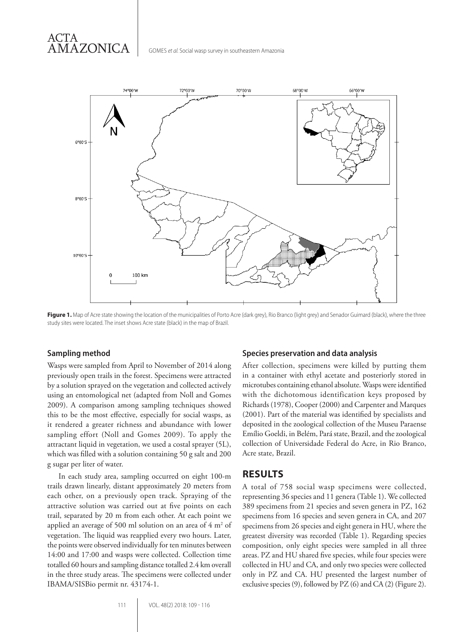

Figure 1. Map of Acre state showing the location of the municipalities of Porto Acre (dark grey), Rio Branco (light grey) and Senador Guimard (black), where the three study sites were located. The inset shows Acre state (black) in the map of Brazil.

#### **Sampling method**

Wasps were sampled from April to November of 2014 along previously open trails in the forest. Specimens were attracted by a solution sprayed on the vegetation and collected actively using an entomological net (adapted from Noll and Gomes 2009). A comparison among sampling techniques showed this to be the most effective, especially for social wasps, as it rendered a greater richness and abundance with lower sampling effort (Noll and Gomes 2009). To apply the attractant liquid in vegetation, we used a costal sprayer (5L), which was filled with a solution containing 50 g salt and 200 g sugar per liter of water.

In each study area, sampling occurred on eight 100-m trails drawn linearly, distant approximately 20 meters from each other, on a previously open track. Spraying of the attractive solution was carried out at five points on each trail, separated by 20 m from each other. At each point we applied an average of 500 ml solution on an area of  $4 \text{ m}^2$  of vegetation. The liquid was reapplied every two hours. Later, the points were observed individually for ten minutes between 14:00 and 17:00 and wasps were collected. Collection time totalled 60 hours and sampling distance totalled 2.4 km overall in the three study areas. The specimens were collected under IBAMA/SISBio permit nr. 43174-1.

#### **Species preservation and data analysis**

After collection, specimens were killed by putting them in a container with ethyl acetate and posteriorly stored in microtubes containing ethanol absolute. Wasps were identified with the dichotomous identification keys proposed by Richards (1978), Cooper (2000) and Carpenter and Marques (2001). Part of the material was identified by specialists and deposited in the zoological collection of the Museu Paraense Emílio Goeldi, in Belém, Pará state, Brazil, and the zoological collection of Universidade Federal do Acre, in Rio Branco, Acre state, Brazil.

## **RESULTS**

A total of 758 social wasp specimens were collected, representing 36 species and 11 genera (Table 1). We collected 389 specimens from 21 species and seven genera in PZ, 162 specimens from 16 species and seven genera in CA, and 207 specimens from 26 species and eight genera in HU, where the greatest diversity was recorded (Table 1). Regarding species composition, only eight species were sampled in all three areas. PZ and HU shared five species, while four species were collected in HU and CA, and only two species were collected only in PZ and CA. HU presented the largest number of exclusive species (9), followed by PZ (6) and CA (2) (Figure 2).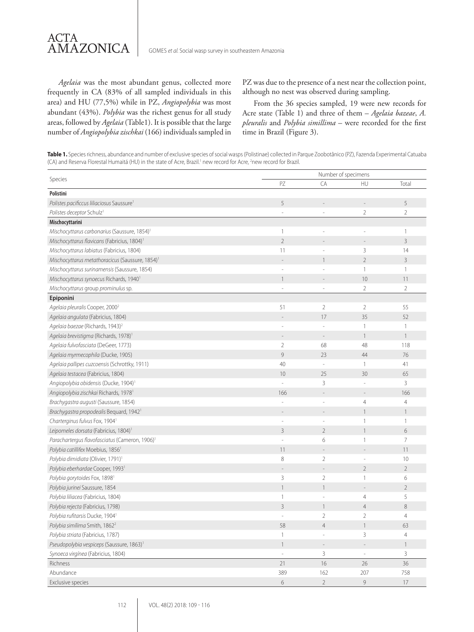

*Agelaia* was the most abundant genus, collected more frequently in CA (83% of all sampled individuals in this area) and HU (77,5%) while in PZ, *Angiopolybia* was most abundant (43%). *Polybia* was the richest genus for all study areas, followed by *Agelaia* (Table1). It is possible that the large number of *Angiopolybia zischkai* (166) individuals sampled in PZ was due to the presence of a nest near the collection point, although no nest was observed during sampling.

From the 36 species sampled, 19 were new records for Acre state (Table 1) and three of them – *Agelaia bazeae*, *A. pleuralis* and *Polybia simillima* – were recorded for the first time in Brazil (Figure 3).

| Table 1. Species richness, abundance and number of exclusive species of social wasps (Polistinae) collected in Parque Zoobotânico (PZ), Fazenda Experimental Catuaba |
|----------------------------------------------------------------------------------------------------------------------------------------------------------------------|
| (CA) and Reserva Florestal Humaitá (HU) in the state of Acre, Brazil. <sup>1</sup> new record for Acre, <sup>2</sup> new record for Brazil.                          |

| Species                                                     | Number of specimens      |                |                          |                |
|-------------------------------------------------------------|--------------------------|----------------|--------------------------|----------------|
|                                                             | PZ                       | CA             | HU                       | Total          |
| Polistini                                                   |                          |                |                          |                |
| Polistes pacificcus liliaciosus Saussure <sup>1</sup>       | 5                        | $\overline{a}$ |                          | 5              |
| Polistes deceptor Schulz <sup>1</sup>                       | $\overline{a}$           | L              | $\overline{2}$           | $\overline{2}$ |
| Mischocyttarini                                             |                          |                |                          |                |
| Mischocyttarus carbonarius (Saussure, 1854) <sup>1</sup>    | 1                        |                |                          | $\mathbb{1}$   |
| Mischocyttarus flavicans (Fabricius, 1804) <sup>1</sup>     | $\overline{2}$           | L,             | $\overline{\phantom{0}}$ | $\overline{3}$ |
| Mischocyttarus labiatus (Fabricius, 1804)                   | 11                       |                | 3                        | 14             |
| Mischocyttarus metathoracicus (Saussure, 1854) <sup>1</sup> | $\overline{a}$           | 1              | $\overline{2}$           | 3              |
| Mischocyttarus surinamensis (Saussure, 1854)                |                          |                | $\mathbf{1}$             | 1              |
| Mischocyttarus synoecus Richards, 1940 <sup>1</sup>         | $\mathbf{1}$             |                | 10                       | 11             |
| Mischocyttarus group prominulus sp.                         | $\overline{a}$           | $\overline{a}$ | $\overline{2}$           | $\overline{2}$ |
| Epiponini                                                   |                          |                |                          |                |
| Agelaia pleuralis Cooper, 2000 <sup>2</sup>                 | 51                       | $\overline{2}$ | $\overline{2}$           | 55             |
| Agelaia angulata (Fabricius, 1804)                          |                          | 17             | 35                       | 52             |
| Agelaia baezae (Richards, 1943) <sup>2</sup>                | $\overline{\phantom{a}}$ | $\overline{a}$ | $\mathbf{1}$             | 1              |
| Agelaia brevistigma (Richards, 1978) <sup>1</sup>           |                          | $\overline{a}$ | $\mathbf{1}$             | $\mathbf{1}$   |
| Agelaia fulvofasciata (DeGeer, 1773)                        | $\overline{2}$           | 68             | 48                       | 118            |
| Agelaia myrmecophila (Ducke, 1905)                          | 9                        | 23             | 44                       | 76             |
| Agelaia pallipes cuzcoensis (Schrottky, 1911)               | 40                       | Ĭ.             | $\mathbf{1}$             | 41             |
| Agelaia testacea (Fabricius, 1804)                          | 10                       | 25             | 30                       | 65             |
| Angiopolybia obidensis (Ducke, 1904) <sup>1</sup>           |                          | 3              | Ĭ.                       | 3              |
| Angiopolybia zischkai Richards, 1978 <sup>1</sup>           | 166                      |                | $\overline{\phantom{0}}$ | 166            |
| Brachygastra augusti (Saussure, 1854)                       | $\overline{a}$           | L              | $\overline{4}$           | $\overline{4}$ |
| Brachygastra propodealis Bequard, 1942 <sup>1</sup>         |                          |                | 1                        | $\mathbf{1}$   |
| Charterginus fulvus Fox, 1904 <sup>1</sup>                  | $\overline{a}$           | $\overline{a}$ | $\mathbf{1}$             | $\mathbf{1}$   |
| Leipomeles dorsata (Fabricius, 1804) <sup>1</sup>           | 3                        | $\overline{2}$ | $\mathbf{1}$             | 6              |
| Parachartergus flavofasciatus (Cameron, 1906) <sup>1</sup>  | $\overline{a}$           | 6              | $\mathbf{1}$             | 7              |
| Polybia catillifex Moebius, 1856 <sup>1</sup>               | 11                       |                |                          | 11             |
| Polybia dimidiata (Olivier, 1791) <sup>1</sup>              | 8                        | $\overline{2}$ |                          | 10             |
| Polybia eberhardae Cooper, 1993 <sup>1</sup>                | $\overline{a}$           | $\overline{a}$ | $\overline{2}$           | $\overline{2}$ |
| Polybia gorytoides Fox, 1898 <sup>1</sup>                   | 3                        | $\overline{2}$ | $\mathbf{1}$             | 6              |
| Polybia jurinei Saussure, 1854                              | $\mathbf{1}$             | $\mathbf{1}$   | $\overline{\phantom{0}}$ | $\overline{2}$ |
| Polybia liliacea (Fabricius, 1804)                          | $\mathbf{1}$             |                | $\overline{4}$           | 5              |
| Polybia rejecta (Fabricius, 1798)                           | $\overline{3}$           | $\mathbf{1}$   | $\overline{4}$           | 8              |
| Polybia rufitarsis Ducke, 1904 <sup>1</sup>                 | $\overline{a}$           | $\overline{2}$ | $\overline{2}$           | $\overline{4}$ |
| Polybia simílima Smith, 1862 <sup>2</sup>                   | 58                       | $\overline{4}$ | $\mathbf{1}$             | 63             |
| Polybia striata (Fabricius, 1787)                           | $\mathbf{1}$             | $\overline{a}$ | 3                        | $\overline{4}$ |
| Pseudopolybia vespiceps (Saussure, 1863) <sup>1</sup>       | $\mathbf{1}$             | $\overline{a}$ | $\overline{a}$           | $\overline{1}$ |
| Synoeca virgínea (Fabricius, 1804)                          |                          | 3              | $\overline{\phantom{0}}$ | 3              |
| Richness                                                    | 21                       | 16             | 26                       | 36             |
| Abundance                                                   | 389                      | 162            | 207                      | 758            |
| <b>Exclusive species</b>                                    | 6                        | $\overline{2}$ | $\mathbf{Q}$             | 17             |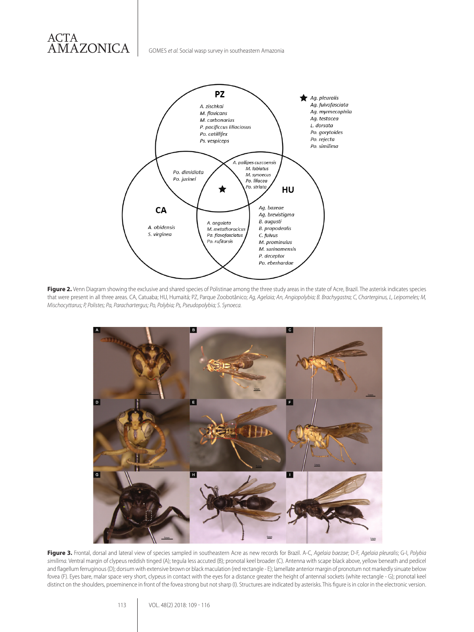

GOMES *et al.* Social wasp survey in southeastern Amazonia

ACTA

AMAZONICA

Fiqure 2. Venn Diagram showing the exclusive and shared species of Polistinae among the three study areas in the state of Acre, Brazil. The asterisk indicates species that were present in all three areas. CA, Catuaba; HU, Humaitá; PZ, Parque Zoobotânico; *Ag, Agelaia; An, Angiopolybia; B. Brachygastra; C, Charterginus, L, Leipomeles; M, Mischocyttarus; P, Polistes; Pa, Parachartergus; Po, Polybia; Ps, Pseudopolybia; S. Synoeca.* 



**Figure 3.** Frontal, dorsal and lateral view of species sampled in southeastern Acre as new records for Brazil. A-C, *Agelaia baezae*; D-F, *Agelaia pleuralis*; G-I, *Polybia simílima.* Ventral margin of clypeus reddish tinged (A); tegula less accuted (B); pronotal keel broader (C). Antenna with scape black above, yellow beneath and pedicel and flagellum ferruginous (D); dorsum with extensive brown or black maculation (red rectangle - E); lamellate anterior margin of pronotum not markedly sinuate below fovea (F). Eyes bare, malar space very short, clypeus in contact with the eyes for a distance greater the height of antennal sockets (white rectangle - G); pronotal keel distinct on the shoulders, proeminence in front of the fovea strong but not sharp (I). Structures are indicated by asterisks. This figure is in color in the electronic version.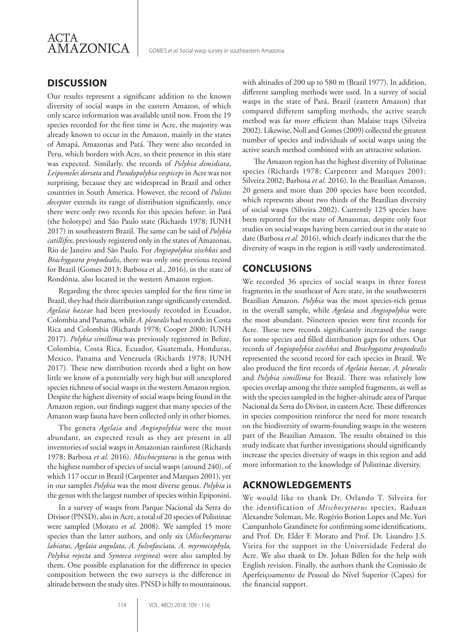

## **DISCUSSION**

Our results represent a significant addition to the known diversity of social wasps in the eastern Amazon, of which only scarce information was available until now. From the 19 species recorded for the first time in Acre, the majority was already known to occur in the Amazon, mainly in the states of Amapá, Amazonas and Pará. They were also recorded in Peru, which borders with Acre, so their presence in this state was expected. Similarly, the records of *Polybia dimidiata*, *Leipomeles dorsata* and *Pseudopolybia vespiceps* in Acre was not surprising, because they are widespread in Brazil and other countries in South America. However, the record of *Polistes deceptor* extends its range of distribution significantly, once there were only two records for this species before: in Pará (the holotype) and São Paulo state (Richards 1978; IUNH 2017) in southeastern Brazil. The same can be said of *Polybia catillifex*, previously registered only in the states of Amazonas, Rio de Janeiro and São Paulo. For *Angiopolybia zischkai* and *Brachygastra propodealis*, there was only one previous record for Brazil (Gomes 2013; Barbosa et al., 2016), in the state of Rondônia, also located in the western Amazon region.

Regarding the three species sampled for the first time in Brazil, they had their distribution range significantly extended. *Agelaia bazeae* had been previously recorded in Ecuador, Colombia and Panama, while *A. pleuralis* had records in Costa Rica and Colombia (Richards 1978; Cooper 2000; IUNH 2017). *Polybia simillima* was previously registered in Belize, Colombia, Costa Rica, Ecuador, Guatemala, Honduras, Mexico, Panama and Venezuela (Richards 1978; IUNH 2017). These new distribution records shed a light on how little we know of a potentially very high but still unexplored species richness of social wasps in the western Amazon region. Despite the highest diversity of social wasps being found in the Amazon region, our findings suggest that many species of the Amazon wasp fauna have been collected only in other biomes.

The genera *Agelaia* and *Angiopolybia* were the most abundant, an expected result as they are present in all inventories of social wasps in Amazonian rainforest (Richards 1978; Barbosa *et al*. 2016). *Mischocyttarus* is the genus with the highest number of species of social wasps (around 240), of which 117 occur in Brazil (Carpenter and Marques 2001), yet in our samples *Polybia* was the most diverse genus. *Polybia* is the genus with the largest number of species within Epiponini.

In a survey of wasps from Parque Nacional da Serra do Divisor (PNSD), also in Acre, a total of 20 species of Polistinae were sampled (Morato *et al.* 2008). We sampled 15 more species than the latter authors, and only six (*Mischocyttarus labiatus, Agelaia angulata, A. fulvofasciata, A. myrmecophyla, Polybia rejecta* and *Synoeca virginea*) were also sampled by them. One possible explanation for the difference in species composition between the two surveys is the difference in altitude between the study sites. PNSD is hilly to mountainous, with altitudes of 200 up to 580 m (Brazil 1977). In addition, different sampling methods were used. In a survey of social wasps in the state of Pará, Brazil (eastern Amazon) that compared different sampling methods, the active search method was far more efficient than Malaise traps (Silveira 2002). Likewise, Noll and Gomes (2009) collected the greatest number of species and individuals of social wasps using the active search method combined with an attractive solution.

The Amazon region has the highest diversity of Polistinae species (Richards 1978; Carpenter and Marques 2001; Silveira 2002; Barbosa *et al.* 2016). In the Brazilian Amazon, 20 genera and more than 200 species have been recorded, which represents about two thirds of the Brazilian diversity of social wasps (Silveira 2002). Currently 125 species have been reported for the state of Amazonas, despite only four studies on social wasps having been carried out in the state to date (Barbosa *et al.* 2016), which clearly indicates that the the diversity of wasps in the region is still vastly underestimated.

## **CONCLUSIONS**

We recorded 36 species of social wasps in three forest fragments in the southeast of Acre state, in the southwestern Brazilian Amazon. *Polybia* was the most species-rich genus in the overall sample, while *Agelaia* and *Angiopolybia* were the most abundant. Nineteen species were first records for Acre. These new records significantly increased the range for some species and filled distribution gaps for others. Our records of *Angiopolybia zischkai* and *Brachygastra propodealis* represented the second record for each species in Brazil. We also produced the first records of *Agelaia baezae, A. pleuralis*  and *Polybia simillima* for Brazil. There was relatively low species overlap among the three sampled fragments, as well as with the species sampled in the higher-altitude area of Parque Nacional da Serra do Divisor, in eastern Acre. These differences in species composition reinforce the need for more research on the biodiversity of swarm-founding wasps in the western part of the Brazilian Amazon. The results obtained in this study indicate that further investigations should significantly increase the species diversity of wasps in this region and add more information to the knowledge of Polistinae diversity.

## **ACKNOWLEDGEMENTS**

We would like to thank Dr. Orlando T. Silveira for the identification of *Mischocyttarus* species, Raduan Alexandre Soleman, Me. Rogério Botion Lopes and Me. Yuri Campanholo Grandinete for confirming some identifications, and Prof. Dr. Elder F. Morato and Prof. Dr. Lisandro J.S. Vieira for the support in the Universidade Federal do Acre. We also thank to Dr. Johan Billen for the help with English revision. Finally, the authors thank the Comissão de Aperfeiçoamento de Pessoal do Nível Superior (Capes) for the financial support.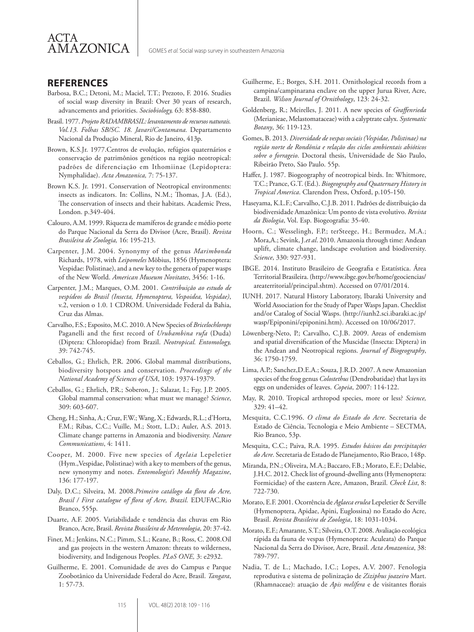

#### **REFERENCES**

- Barbosa, B.C.; Detoni, M.; Maciel, T.T.; Prezoto, F. 2016. Studies of social wasp diversity in Brazil: Over 30 years of research, advancements and priorities. *Sociobiology,* 63: 858-880.
- Brasil. 1977. *Projeto RADAMBRASIL: levantamento de recursos naturais. Vol.13. Folhas SB/SC. 18. Javari/Contamana.* Departamento Nacional da Produção Mineral, Rio de Janeiro, 413p.
- Brown, K.S.Jr. 1977.Centros de evolução, refúgios quaternários e conservação de patrimônios genéticos na região neotropical: padrões de diferenciação em Ithomiinae (Lepidoptera: Nymphalidae). *Acta Amazonica,* 7: 75-137.
- Brown K.S. Jr. 1991. Conservation of Neotropical environments: insects as indicators. In: Collins, N.M.; Thomas, J.A. (Ed.), The conservation of insects and their habitats. Academic Press, London. p.349-404.
- Calouro, A.M. 1999. Riqueza de mamíferos de grande e médio porte do Parque Nacional da Serra do Divisor (Acre, Brasil). *Revista Brasileira de Zoologia,* 16: 195-213.
- Carpenter, J.M. 2004. Synonymy of the genus *Marimbonda* Richards, 1978, with *Leipomeles* Möbius, 1856 (Hymenoptera: Vespidae: Polistinae), and a new key to the genera of paper wasps of the New World. *American Museum Novitates*, 3456: 1-16.
- Carpenter, J.M.; Marques, O.M. 2001. *Contribuição ao estudo de vespídeos do Brasil (Insecta, Hymenoptera, Vespoidea, Vespidae)*, v.2, version o 1.0. 1 CDROM. Universidade Federal da Bahia, Cruz das Almas.
- Carvalho, F.S.; Esposito, M.C. 2010. A New Species of *Bricelochlorops*  Paganelli and the first record of *Urubambina rufa* (Duda) (Diptera: Chloropidae) from Brazil. *Neotropical. Entomology,*  39: 742-745.
- Ceballos, G.; Ehrlich, P.R. 2006. Global mammal distributions, biodiversity hotspots and conservation. *Proceedings of the National Academy of Sciences of USA*, 103: 19374-19379.
- Ceballos, G.; Ehrlich, P.R.; Soberon, J.; Salazar, I.; Fay, J.P. 2005. Global mammal conservation: what must we manage? *Science*, 309: 603-607.
- Cheng, H.; Sinha, A.; Cruz, F.W.; Wang, X.; Edwards, R.L.; d'Horta, F.M.; Ribas, C.C.; Vuille, M.; Stott, L.D.; Auler, A.S. 2013. Climate change patterns in Amazonia and biodiversity. *Nature Communications*, 4: 1411.
- Cooper, M. 2000. Five new species of *Agelaia* Lepeletier (Hym.,Vespidae, Polistinae) with a key to members of the genus, new synonymy and notes. *Entomologist's Monthly Magazine*, 136: 177-197.
- Daly, D.C.; Silveira, M. 2008.*Primeiro catálogo da flora do Acre, Brasil / First catalogue of flora of Acre, Brazil*. EDUFAC,Rio Branco, 555p.
- Duarte, A.F. 2005. Variabilidade e tendência das chuvas em Rio Branco, Acre, Brasil. *Revista Brasileira de Metereologia*, 20: 37-42.
- Finer, M.; Jenkins, N.C.; Pimm, S.L.; Keane, B.; Ross, C. 2008.Oil and gas projects in the western Amazon: threats to wilderness, biodiversity, and Indigenous Peoples. *PLoS ONE,* 3: e2932.
- Guilherme, E. 2001. Comunidade de aves do Campus e Parque Zoobotânico da Universidade Federal do Acre, Brasil. *Tangara*, 1: 57-73.
- Guilherme, E.; Borges, S.H. 2011. Ornithological records from a campina/campinarana enclave on the upper Jurua River, Acre, Brazil. *Wilson Journal of Ornithology*, 123: 24-32.
- Goldenberg, R.; Meirelles, J. 2011. A new species of *Graffenrieda* (Merianieae, Melastomataceae) with a calyptrate calyx. *Systematic Botany*, 36: 119-123.
- Gomes, B. 2013. *Diversidade de vespas sociais (Vespidae, Polistinae) na região norte de Rondônia e relação dos ciclos ambientais abióticos sobre o forrageio*. Doctoral thesis, Universidade de São Paulo, Ribeirão Preto, São Paulo. 55p.
- Haffer, J. 1987. Biogeography of neotropical birds. In: Whitmore, T.C.; Prance, G.T. (Ed.). *Biogeography and Quaternary History in Tropical America*. Clarendon Press, Oxford, p.105-150.
- Haseyama, K.L.F.; Carvalho, C.J.B. 2011. Padrões de distribuição da biodiversidade Amazônica: Um ponto de vista evolutivo. *Revista da Biologia*, Vol. Esp. Biogeografia: 35-40.
- Hoorn, C.; Wesselingh, F.P.; terSteege, H.; Bermudez, M.A.; Mora,A.; Sevink, J.*et al*. 2010. Amazonia through time: Andean uplift, climate change, landscape evolution and biodiversity. *Science*, 330: 927-931.
- IBGE. 2014. Instituto Brasileiro de Geografia e Estatística. Área Territorial Brasileira. (http://www.ibge.gov.br/home/geociencias/ areaterritorial/principal.shtm). Accessed on 07/01/2014.
- IUNH. 2017. Natural History Laboratory, Ibaraki University and World Association for the Study of Paper Wasps Japan. Checklist and/or Catalog of Social Wasps. (http://iunh2.sci.ibaraki.ac.jp/ wasp/Epiponini/epiponini.htm). Accessed on 10/06/2017.
- Löwenberg-Neto, P.; Carvalho, C.J.B. 2009. Areas of endemism and spatial diversification of the Muscidae (Insecta: Diptera) in the Andean and Neotropical regions. *Journal of Biogeography*, 36: 1750-1759.
- Lima, A.P.; Sanchez,D.E.A.; Souza, J.R.D. 2007. A new Amazonian species of the frog genus *Colostethus* (Dendrobatidae) that lays its eggs on undersides of leaves. *Copeia*, 2007: 114-122.
- May, R. 2010. Tropical arthropod species, more or less? *Science,*  329: 41–42.
- Mesquita, C.C.1996. *O clima do Estado do Acre.* Secretaria de Estado de Ciência, Tecnologia e Meio Ambiente – SECTMA, Rio Branco, 53p.
- Mesquita, C.C.; Paiva, R.A. 1995. *Estudos básicos das precipitações do Acre*. Secretaria de Estado de Planejamento, Rio Braco, 148p.
- Miranda, P.N.; Oliveira, M.A.; Baccaro, F.B.; Morato, E.F.; Delabie, J.H.C. 2012. Check list of ground-dwelling ants (Hymenoptera: Formicidae) of the eastern Acre, Amazon, Brazil. *Check List*, 8: 722-730.
- Morato, E.F. 2001. Ocorrência de *Aglaeca erulea* Lepeletier & Serville (Hymenoptera, Apidae, Apini, Euglossina) no Estado do Acre, Brasil. *Revista Brasileira de Zoologia*, 18: 1031-1034.
- Morato, E.F.; Amarante, S.T.; Silveira, O.T. 2008. Avaliação ecológica rápida da fauna de vespas (Hymenoptera: Aculeata) do Parque Nacional da Serra do Divisor, Acre, Brasil. *Acta Amazonica*, 38: 789-797.
- Nadia, T. de L.; Machado, I.C.; Lopes, A.V. 2007. Fenologia reprodutiva e sistema de polinização de *Ziziphus joazeiro* Mart. (Rhamnaceae): atuação de *Apis melífera* e de visitantes florais